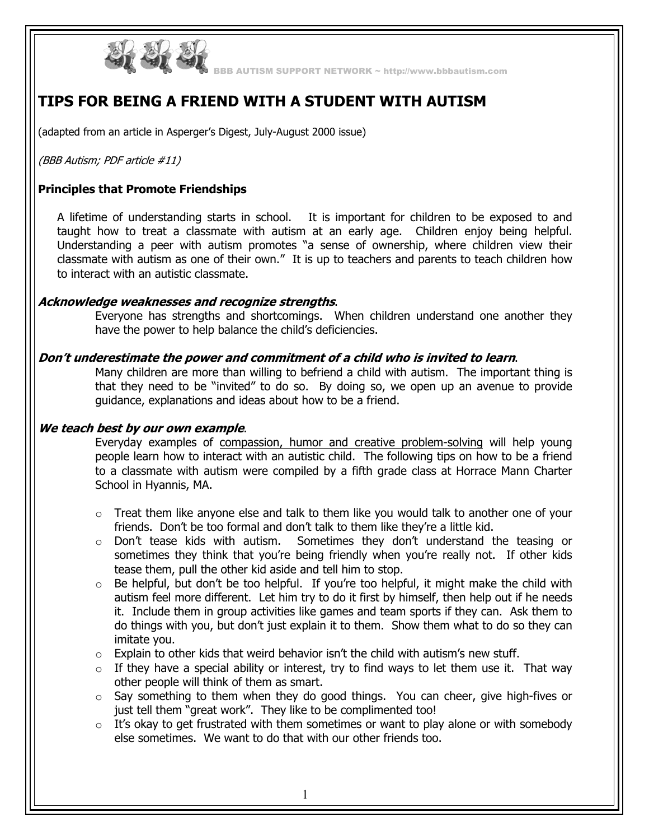

BBB AUTISM SUPPORT NETWORK ~ http://www.bbbautism.com

# **TIPS FOR BEING A FRIEND WITH A STUDENT WITH AUTISM**

(adapted from an article in Asperger's Digest, July-August 2000 issue)

(BBB Autism; PDF article #11)

# **Principles that Promote Friendships**

A lifetime of understanding starts in school. It is important for children to be exposed to and taught how to treat a classmate with autism at an early age. Children enjoy being helpful. Understanding a peer with autism promotes "a sense of ownership, where children view their classmate with autism as one of their own." It is up to teachers and parents to teach children how to interact with an autistic classmate.

### **Acknowledge weaknesses and recognize strengths**.

Everyone has strengths and shortcomings. When children understand one another they have the power to help balance the child's deficiencies.

### **Don't underestimate the power and commitment of a child who is invited to learn**.

Many children are more than willing to befriend a child with autism. The important thing is that they need to be "invited" to do so. By doing so, we open up an avenue to provide guidance, explanations and ideas about how to be a friend.

## **We teach best by our own example**.

Everyday examples of compassion, humor and creative problem-solving will help young people learn how to interact with an autistic child. The following tips on how to be a friend to a classmate with autism were compiled by a fifth grade class at Horrace Mann Charter School in Hyannis, MA.

- $\circ$  Treat them like anyone else and talk to them like you would talk to another one of your friends. Don't be too formal and don't talk to them like they're a little kid.
- $\circ$  Don't tease kids with autism. Sometimes they don't understand the teasing or sometimes they think that you're being friendly when you're really not. If other kids tease them, pull the other kid aside and tell him to stop.
- $\circ$  Be helpful, but don't be too helpful. If you're too helpful, it might make the child with autism feel more different. Let him try to do it first by himself, then help out if he needs it. Include them in group activities like games and team sports if they can. Ask them to do things with you, but don't just explain it to them. Show them what to do so they can imitate you.
- $\circ$  Explain to other kids that weird behavior isn't the child with autism's new stuff.
- $\circ$  If they have a special ability or interest, try to find ways to let them use it. That way other people will think of them as smart.
- $\circ$  Say something to them when they do good things. You can cheer, give high-fives or just tell them "great work". They like to be complimented too!
- $\circ$  It's okay to get frustrated with them sometimes or want to play alone or with somebody else sometimes. We want to do that with our other friends too.